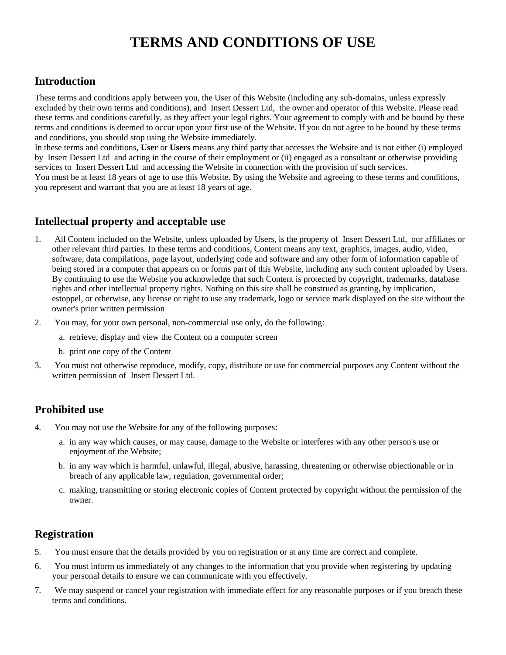# **TERMS AND CONDITIONS OF USE**

## **Introduction**

These terms and conditions apply between you, the User of this Website (including any sub-domains, unless expressly excluded by their own terms and conditions), and Insert Dessert Ltd, the owner and operator of this Website. Please read these terms and conditions carefully, as they affect your legal rights. Your agreement to comply with and be bound by these terms and conditions is deemed to occur upon your first use of the Website. If you do not agree to be bound by these terms and conditions, you should stop using the Website immediately.

In these terms and conditions, **User** or **Users** means any third party that accesses the Website and is not either (i) employed by Insert Dessert Ltd and acting in the course of their employment or (ii) engaged as a consultant or otherwise providing services to Insert Dessert Ltd and accessing the Website in connection with the provision of such services. You must be at least 18 years of age to use this Website. By using the Website and agreeing to these terms and conditions, you represent and warrant that you are at least 18 years of age.

## **Intellectual property and acceptable use**

- 1. All Content included on the Website, unless uploaded by Users, is the property of Insert Dessert Ltd, our affiliates or other relevant third parties. In these terms and conditions, Content means any text, graphics, images, audio, video, software, data compilations, page layout, underlying code and software and any other form of information capable of being stored in a computer that appears on or forms part of this Website, including any such content uploaded by Users. By continuing to use the Website you acknowledge that such Content is protected by copyright, trademarks, database rights and other intellectual property rights. Nothing on this site shall be construed as granting, by implication, estoppel, or otherwise, any license or right to use any trademark, logo or service mark displayed on the site without the owner's prior written permission
- 2. You may, for your own personal, non-commercial use only, do the following:
	- a. retrieve, display and view the Content on a computer screen
	- b. print one copy of the Content
- 3. You must not otherwise reproduce, modify, copy, distribute or use for commercial purposes any Content without the written permission of Insert Dessert Ltd.

## **Prohibited use**

- 4. You may not use the Website for any of the following purposes:
	- a. in any way which causes, or may cause, damage to the Website or interferes with any other person's use or enjoyment of the Website;
	- b. in any way which is harmful, unlawful, illegal, abusive, harassing, threatening or otherwise objectionable or in breach of any applicable law, regulation, governmental order;
	- c. making, transmitting or storing electronic copies of Content protected by copyright without the permission of the owner.

## **Registration**

- 5. You must ensure that the details provided by you on registration or at any time are correct and complete.
- 6. You must inform us immediately of any changes to the information that you provide when registering by updating your personal details to ensure we can communicate with you effectively.
- 7. We may suspend or cancel your registration with immediate effect for any reasonable purposes or if you breach these terms and conditions.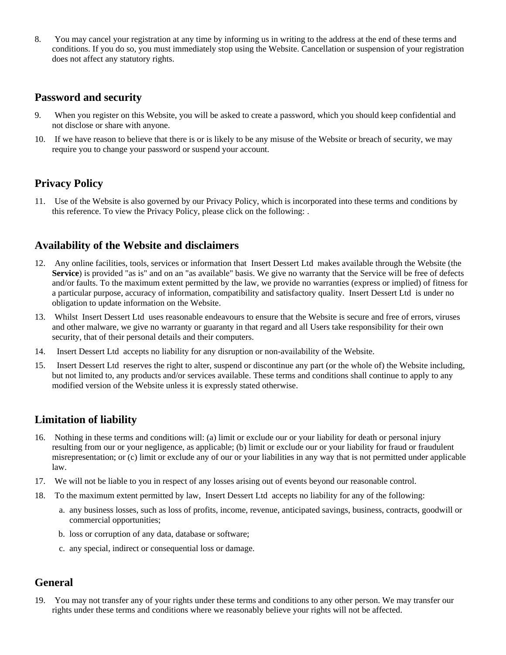8. You may cancel your registration at any time by informing us in writing to the address at the end of these terms and conditions. If you do so, you must immediately stop using the Website. Cancellation or suspension of your registration does not affect any statutory rights.

#### **Password and security**

- 9. When you register on this Website, you will be asked to create a password, which you should keep confidential and not disclose or share with anyone.
- 10. If we have reason to believe that there is or is likely to be any misuse of the Website or breach of security, we may require you to change your password or suspend your account.

#### **Privacy Policy**

11. Use of the Website is also governed by our Privacy Policy, which is incorporated into these terms and conditions by this reference. To view the Privacy Policy, please click on the following: .

#### **Availability of the Website and disclaimers**

- 12. Any online facilities, tools, services or information that Insert Dessert Ltd makes available through the Website (the **Service**) is provided "as is" and on an "as available" basis. We give no warranty that the Service will be free of defects and/or faults. To the maximum extent permitted by the law, we provide no warranties (express or implied) of fitness for a particular purpose, accuracy of information, compatibility and satisfactory quality. Insert Dessert Ltd is under no obligation to update information on the Website.
- 13. Whilst Insert Dessert Ltd uses reasonable endeavours to ensure that the Website is secure and free of errors, viruses and other malware, we give no warranty or guaranty in that regard and all Users take responsibility for their own security, that of their personal details and their computers.
- 14. Insert Dessert Ltd accepts no liability for any disruption or non-availability of the Website.
- 15. Insert Dessert Ltd reserves the right to alter, suspend or discontinue any part (or the whole of) the Website including, but not limited to, any products and/or services available. These terms and conditions shall continue to apply to any modified version of the Website unless it is expressly stated otherwise.

#### **Limitation of liability**

- 16. Nothing in these terms and conditions will: (a) limit or exclude our or your liability for death or personal injury resulting from our or your negligence, as applicable; (b) limit or exclude our or your liability for fraud or fraudulent misrepresentation; or (c) limit or exclude any of our or your liabilities in any way that is not permitted under applicable law.
- 17. We will not be liable to you in respect of any losses arising out of events beyond our reasonable control.
- 18. To the maximum extent permitted by law, Insert Dessert Ltd accepts no liability for any of the following:
	- a. any business losses, such as loss of profits, income, revenue, anticipated savings, business, contracts, goodwill or commercial opportunities;
	- b. loss or corruption of any data, database or software;
	- c. any special, indirect or consequential loss or damage.

#### **General**

19. You may not transfer any of your rights under these terms and conditions to any other person. We may transfer our rights under these terms and conditions where we reasonably believe your rights will not be affected.